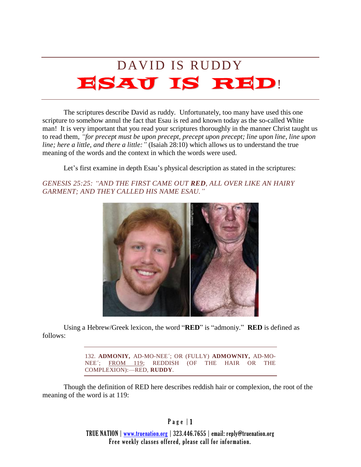## DAVID IS RUDDY ESAU IS RED!

The scriptures describe David as ruddy. Unfortunately, too many have used this one scripture to somehow annul the fact that Esau is red and known today as the so-called White man! It is very important that you read your scriptures thoroughly in the manner Christ taught us to read them, *"for precept must be upon precept, precept upon precept; line upon line, line upon line; here a little, and there a little:"* (Isaiah 28:10) which allows us to understand the true meaning of the words and the context in which the words were used.

Let's first examine in depth Esau's physical description as stated in the scriptures:

*GENESIS 25:25: "AND THE FIRST CAME OUT RED, ALL OVER LIKE AN HAIRY GARMENT; AND THEY CALLED HIS NAME ESAU."*



Using a Hebrew/Greek lexicon, the word "**RED**" is "admoniy." **RED** is defined as follows:

> 132. **ADMONIY,** AD-MO-NEE´; OR (FULLY) **ADMOWNIY,** AD-MO-NEE´; FROM 119; REDDISH (OF THE HAIR OR THE COMPLEXION):—RED, **RUDDY**.

Though the definition of RED here describes reddish hair or complexion, the root of the meaning of the word is at 119:

 $P$  a g e  $|1$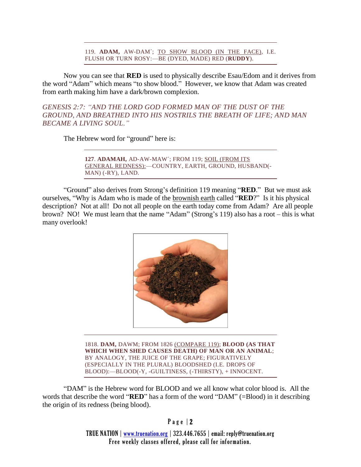119. **ADAM,** AW-DAM´; TO SHOW BLOOD (IN THE FACE), I.E. FLUSH OR TURN ROSY:—BE (DYED, MADE) RED (**RUDDY**).

Now you can see that **RED** is used to physically describe Esau/Edom and it derives from the word "Adam" which means "to show blood." However, we know that Adam was created from earth making him have a dark/brown complexion.

*GENESIS 2:7: "AND THE LORD GOD FORMED MAN OF THE DUST OF THE GROUND, AND BREATHED INTO HIS NOSTRILS THE BREATH OF LIFE; AND MAN BECAME A LIVING SOUL."*

The Hebrew word for "ground" here is:

**127**. **ADAMAH,** AD-AW-MAW´; FROM 119; SOIL (FROM ITS GENERAL REDNESS):—COUNTRY, EARTH, GROUND, HUSBAND(- MAN) (-RY), LAND.

"Ground" also derives from Strong's definition 119 meaning "**RED**." But we must ask ourselves, "Why is Adam who is made of the brownish earth called "**RED**?" Is it his physical description? Not at all! Do not all people on the earth today come from Adam? Are all people brown? NO! We must learn that the name "Adam" (Strong's 119) also has a root – this is what many overlook!



1818. **DAM,** DAWM; FROM 1826 (COMPARE 119); **BLOOD (AS THAT WHICH WHEN SHED CAUSES DEATH) OF MAN OR AN ANIMAL**; BY ANALOGY, THE JUICE OF THE GRAPE; FIGURATIVELY (ESPECIALLY IN THE PLURAL) BLOODSHED (I.E. DROPS OF BLOOD):—BLOOD(-Y, -GUILTINESS, (-THIRSTY), + INNOCENT.

"DAM" is the Hebrew word for BLOOD and we all know what color blood is. All the words that describe the word "**RED**" has a form of the word "DAM" (=Blood) in it describing the origin of its redness (being blood).

P a g e | 2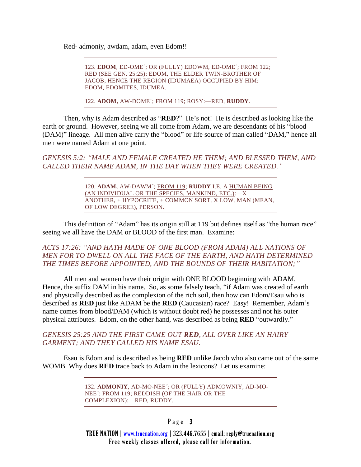Red- admoniy, awdam, adam, even Edom!!

123. **EDOM**, ED-OME´; OR (FULLY) EDOWM, ED-OME´; FROM 122; RED (SEE GEN. 25:25); EDOM, THE ELDER TWIN-BROTHER OF JACOB; HENCE THE REGION (IDUMAEA) OCCUPIED BY HIM:— EDOM, EDOMITES, IDUMEA.

122. **ADOM,** AW-DOME´; FROM 119; ROSY:—RED, **RUDDY**.

Then, why is Adam described as "**RED**?" He's not! He is described as looking like the earth or ground. However, seeing we all come from Adam, we are descendants of his "blood (DAM)" lineage. All men alive carry the "blood" or life source of man called "DAM," hence all men were named Adam at one point.

*GENESIS 5:2: "MALE AND FEMALE CREATED HE THEM; AND BLESSED THEM, AND CALLED THEIR NAME ADAM, IN THE DAY WHEN THEY WERE CREATED."*

> 120. **ADAM,** AW-DAWM´; FROM 119; **RUDDY** I.E. A HUMAN BEING (AN INDIVIDUAL OR THE SPECIES, MANKIND, ETC.):—X ANOTHER, + HYPOCRITE, + COMMON SORT, X LOW, MAN (MEAN, OF LOW DEGREE), PERSON.

This definition of "Adam" has its origin still at 119 but defines itself as "the human race" seeing we all have the DAM or BLOOD of the first man. Examine:

*ACTS 17:26: "AND HATH MADE OF ONE BLOOD (FROM ADAM) ALL NATIONS OF MEN FOR TO DWELL ON ALL THE FACE OF THE EARTH, AND HATH DETERMINED THE TIMES BEFORE APPOINTED, AND THE BOUNDS OF THEIR HABITATION;"*

All men and women have their origin with ONE BLOOD beginning with ADAM. Hence, the suffix DAM in his name. So, as some falsely teach, "if Adam was created of earth and physically described as the complexion of the rich soil, then how can Edom/Esau who is described as **RED** just like ADAM be the **RED** (Caucasian) race? Easy! Remember, Adam's name comes from blood/DAM (which is without doubt red) he possesses and not his outer physical attributes. Edom, on the other hand, was described as being **RED** "outwardly."

*GENESIS 25:25 AND THE FIRST CAME OUT RED, ALL OVER LIKE AN HAIRY GARMENT; AND THEY CALLED HIS NAME ESAU.* 

Esau is Edom and is described as being **RED** unlike Jacob who also came out of the same WOMB. Why does **RED** trace back to Adam in the lexicons? Let us examine:

> 132. **ADMONIY**, AD-MO-NEE´; OR (FULLY) ADMOWNIY, AD-MO-NEE´; FROM 119; REDDISH (OF THE HAIR OR THE COMPLEXION):—RED, RUDDY.

## Page  $|3|$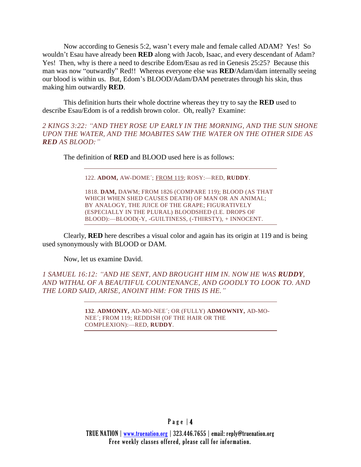Now according to Genesis 5:2, wasn't every male and female called ADAM? Yes! So wouldn't Esau have already been **RED** along with Jacob, Isaac, and every descendant of Adam? Yes! Then, why is there a need to describe Edom/Esau as red in Genesis 25:25? Because this man was now "outwardly" Red!! Whereas everyone else was **RED**/Adam/dam internally seeing our blood is within us. But, Edom's BLOOD/Adam/DAM penetrates through his skin, thus making him outwardly **RED**.

This definition hurts their whole doctrine whereas they try to say the **RED** used to describe Esau/Edom is of a reddish brown color. Oh, really? Examine:

*2 KINGS 3:22: "AND THEY ROSE UP EARLY IN THE MORNING, AND THE SUN SHONE UPON THE WATER, AND THE MOABITES SAW THE WATER ON THE OTHER SIDE AS RED AS BLOOD:"*

The definition of **RED** and BLOOD used here is as follows:

122. **ADOM,** AW-DOME´; FROM 119; ROSY:—RED, **RUDDY**.

1818. **DAM,** DAWM; FROM 1826 (COMPARE 119); BLOOD (AS THAT WHICH WHEN SHED CAUSES DEATH) OF MAN OR AN ANIMAL; BY ANALOGY, THE JUICE OF THE GRAPE; FIGURATIVELY (ESPECIALLY IN THE PLURAL) BLOODSHED (I.E. DROPS OF BLOOD):—BLOOD(-Y, -GUILTINESS, (-THIRSTY), + INNOCENT.

Clearly, **RED** here describes a visual color and again has its origin at 119 and is being used synonymously with BLOOD or DAM.

Now, let us examine David.

*1 SAMUEL 16:12: "AND HE SENT, AND BROUGHT HIM IN. NOW HE WAS RUDDY, AND WITHAL OF A BEAUTIFUL COUNTENANCE, AND GOODLY TO LOOK TO. AND THE LORD SAID, ARISE, ANOINT HIM: FOR THIS IS HE."*

> **132**. **ADMONIY,** AD-MO-NEE´; OR (FULLY) **ADMOWNIY,** AD-MO-NEE´; FROM 119; REDDISH (OF THE HAIR OR THE COMPLEXION):—RED, **RUDDY**.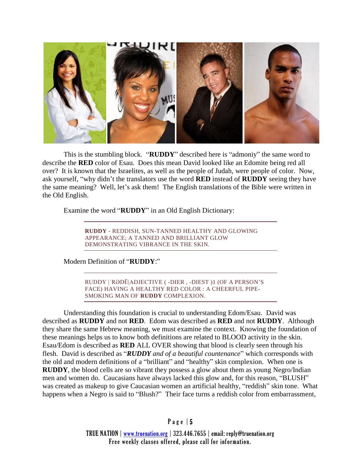

This is the stumbling block. "**RUDDY**" described here is "admoniy" the same word to describe the **RED** color of Esau. Does this mean David looked like an Edomite being red all over? It is known that the Israelites, as well as the people of Judah, were people of color. Now, ask yourself, "why didn't the translators use the word **RED** instead of **RUDDY** seeing they have the same meaning? Well, let's ask them! The English translations of the Bible were written in the Old English.

Examine the word "**RUDDY**" in an Old English Dictionary:

**RUDDY** - REDDISH, SUN-TANNED HEALTHY AND GLOWING APPEARANCE; A TANNED AND BRILLIANT GLOW DEMONSTRATING VIBRANCE IN THE SKIN.

Modern Definition of "**RUDDY**:"

RUDDY |ˈRƏDĒ|ADJECTIVE ( -DIER , -DIEST )1 (OF A PERSON'S FACE) HAVING A HEALTHY RED COLOR : A CHEERFUL PIPE-SMOKING MAN OF **RUDDY** COMPLEXION.

Understanding this foundation is crucial to understanding Edom/Esau. David was described as **RUDDY** and not **RED**. Edom was described as **RED** and not **RUDDY**. Although they share the same Hebrew meaning, we must examine the context. Knowing the foundation of these meanings helps us to know both definitions are related to BLOOD activity in the skin. Esau/Edom is described as **RED** ALL OVER showing that blood is clearly seen through his flesh. David is described as "*RUDDY and of a beautiful countenance*" which corresponds with the old and modern definitions of a "brilliant" and "healthy" skin complexion. When one is **RUDDY**, the blood cells are so vibrant they possess a glow about them as young Negro/Indian men and women do. Caucasians have always lacked this glow and, for this reason, "BLUSH" was created as makeup to give Caucasian women an artificial healthy, "reddish" skin tone. What happens when a Negro is said to "Blush?" Their face turns a reddish color from embarrassment,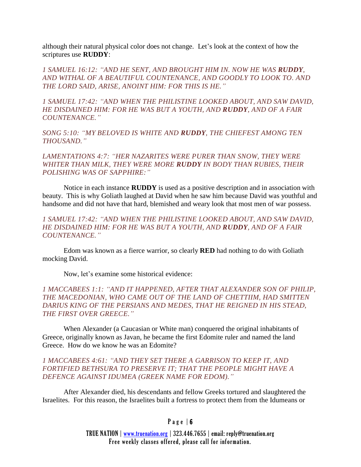although their natural physical color does not change. Let's look at the context of how the scriptures use **RUDDY**:

*1 SAMUEL 16:12: "AND HE SENT, AND BROUGHT HIM IN. NOW HE WAS RUDDY, AND WITHAL OF A BEAUTIFUL COUNTENANCE, AND GOODLY TO LOOK TO. AND THE LORD SAID, ARISE, ANOINT HIM: FOR THIS IS HE."*

*1 SAMUEL 17:42: "AND WHEN THE PHILISTINE LOOKED ABOUT, AND SAW DAVID, HE DISDAINED HIM: FOR HE WAS BUT A YOUTH, AND RUDDY, AND OF A FAIR COUNTENANCE."*

*SONG 5:10: "MY BELOVED IS WHITE AND RUDDY, THE CHIEFEST AMONG TEN THOUSAND."*

*LAMENTATIONS 4:7: "HER NAZARITES WERE PURER THAN SNOW, THEY WERE WHITER THAN MILK, THEY WERE MORE RUDDY IN BODY THAN RUBIES, THEIR POLISHING WAS OF SAPPHIRE:"*

Notice in each instance **RUDDY** is used as a positive description and in association with beauty. This is why Goliath laughed at David when he saw him because David was youthful and handsome and did not have that hard, blemished and weary look that most men of war possess.

*1 SAMUEL 17:42: "AND WHEN THE PHILISTINE LOOKED ABOUT, AND SAW DAVID, HE DISDAINED HIM: FOR HE WAS BUT A YOUTH, AND RUDDY, AND OF A FAIR COUNTENANCE."*

Edom was known as a fierce warrior, so clearly **RED** had nothing to do with Goliath mocking David.

Now, let's examine some historical evidence:

*1 MACCABEES 1:1: "AND IT HAPPENED, AFTER THAT ALEXANDER SON OF PHILIP, THE MACEDONIAN, WHO CAME OUT OF THE LAND OF CHETTIIM, HAD SMITTEN DARIUS KING OF THE PERSIANS AND MEDES, THAT HE REIGNED IN HIS STEAD, THE FIRST OVER GREECE."*

When Alexander (a Caucasian or White man) conquered the original inhabitants of Greece, originally known as Javan, he became the first Edomite ruler and named the land Greece. How do we know he was an Edomite?

## *1 MACCABEES 4:61: "AND THEY SET THERE A GARRISON TO KEEP IT, AND FORTIFIED BETHSURA TO PRESERVE IT; THAT THE PEOPLE MIGHT HAVE A DEFENCE AGAINST IDUMEA (GREEK NAME FOR EDOM)."*

After Alexander died, his descendants and fellow Greeks tortured and slaughtered the Israelites. For this reason, the Israelites built a fortress to protect them from the Idumeans or

## Page  $| 6$